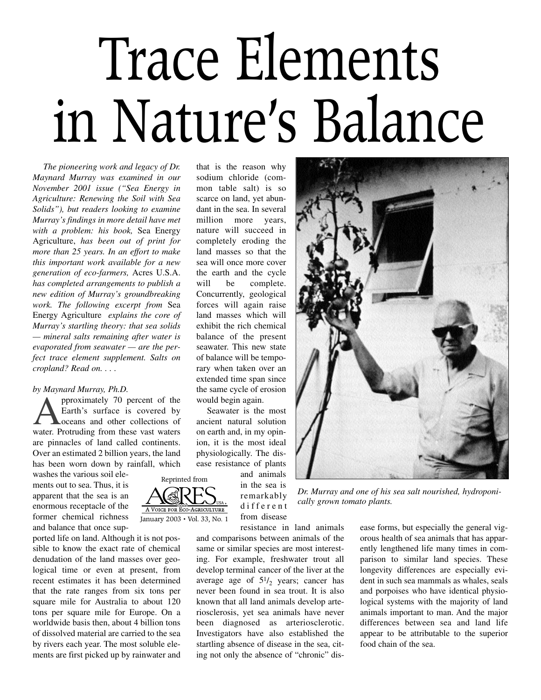## Trace Elements in Nature's Balance

*The pioneering work and legacy of Dr. Maynard Murray was examined in our November 2001 issue ("Sea Energy in Agriculture: Renewing the Soil with Sea Solids"), but readers looking to examine Murray's findings in more detail have met with a problem: his book,* Sea Energy Agriculture, *has been out of print for more than 25 years. In an effort to make this important work available for a new generation of eco-farmers,* Acres U.S.A. *has completed arrangements to publish a new edition of Murray's groundbreaking work. The following excerpt from* Sea Energy Agriculture *explains the core of Murray's startling theory: that sea solids — mineral salts remaining after water is evaporated from seawater — are the perfect trace element supplement. Salts on cropland? Read on. . . .*

## *by Maynard Murray, Ph.D.*

pproximately 70 percent of the Earth's surface is covered by **Loceans** and other collections of water. Protruding from these vast waters are pinnacles of land called continents. Over an estimated 2 billion years, the land has been worn down by rainfall, which

washes the various soil elements out to sea. Thus, it is apparent that the sea is an enormous receptacle of the former chemical richness and balance that once sup-

ported life on land. Although it is not possible to know the exact rate of chemical denudation of the land masses over geological time or even at present, from recent estimates it has been determined that the rate ranges from six tons per square mile for Australia to about 120 tons per square mile for Europe. On a worldwide basis then, about 4 billion tons of dissolved material are carried to the sea by rivers each year. The most soluble elements are first picked up by rainwater and

that is the reason why sodium chloride (common table salt) is so scarce on land, yet abundant in the sea. In several million more years, nature will succeed in completely eroding the land masses so that the sea will once more cover the earth and the cycle will be complete. Concurrently, geological forces will again raise land masses which will exhibit the rich chemical balance of the present seawater. This new state of balance will be temporary when taken over an extended time span since the same cycle of erosion would begin again.

Seawater is the most ancient natural solution on earth and, in my opinion, it is the most ideal physiologically. The disease resistance of plants



and animals in the sea is remarkably different from disease

resistance in land animals and comparisons between animals of the same or similar species are most interesting. For example, freshwater trout all develop terminal cancer of the liver at the average age of  $5^{1}/_{2}$  years; cancer has never been found in sea trout. It is also known that all land animals develop arteriosclerosis, yet sea animals have never been diagnosed as arteriosclerotic. Investigators have also established the startling absence of disease in the sea, citing not only the absence of "chronic" dis-



*Dr. Murray and one of his sea salt nourished, hydroponically grown tomato plants.*

ease forms, but especially the general vigorous health of sea animals that has apparently lengthened life many times in comparison to similar land species. These longevity differences are especially evident in such sea mammals as whales, seals and porpoises who have identical physiological systems with the majority of land animals important to man. And the major differences between sea and land life appear to be attributable to the superior food chain of the sea.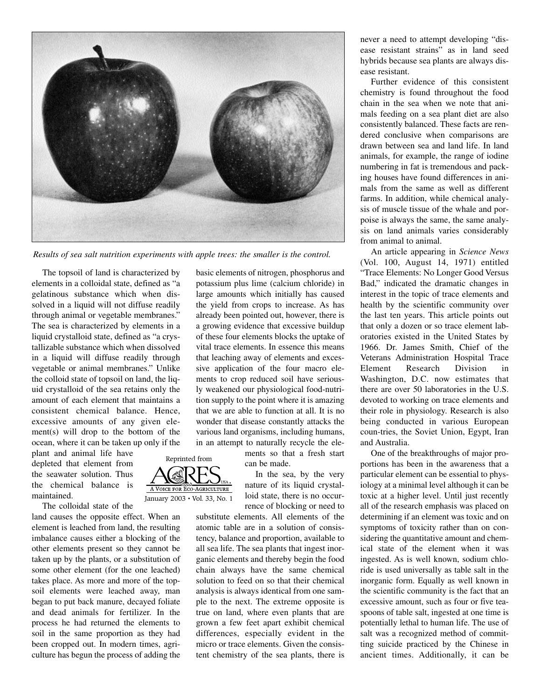

*Results of sea salt nutrition experiments with apple trees: the smaller is the control.*

The topsoil of land is characterized by elements in a colloidal state, defined as "a gelatinous substance which when dissolved in a liquid will not diffuse readily through animal or vegetable membranes." The sea is characterized by elements in a liquid crystalloid state, defined as "a crystallizable substance which when dissolved in a liquid will diffuse readily through vegetable or animal membranes." Unlike the colloid state of topsoil on land, the liquid crystalloid of the sea retains only the amount of each element that maintains a consistent chemical balance. Hence, excessive amounts of any given element(s) will drop to the bottom of the ocean, where it can be taken up only if the

plant and animal life have depleted that element from the seawater solution. Thus the chemical balance is maintained.

The colloidal state of the

land causes the opposite effect. When an element is leached from land, the resulting imbalance causes either a blocking of the other elements present so they cannot be taken up by the plants, or a substitution of some other element (for the one leached) takes place. As more and more of the topsoil elements were leached away, man began to put back manure, decayed foliate and dead animals for fertilizer. In the process he had returned the elements to soil in the same proportion as they had been cropped out. In modern times, agriculture has begun the process of adding the

basic elements of nitrogen, phosphorus and potassium plus lime (calcium chloride) in large amounts which initially has caused the yield from crops to increase. As has already been pointed out, however, there is a growing evidence that excessive buildup of these four elements blocks the uptake of vital trace elements. In essence this means that leaching away of elements and excessive application of the four macro elements to crop reduced soil have seriously weakened our physiological food-nutrition supply to the point where it is amazing that we are able to function at all. It is no wonder that disease constantly attacks the various land organisms, including humans, in an attempt to naturally recycle the ele-

> ments so that a fresh start can be made.

> In the sea, by the very nature of its liquid crystalloid state, there is no occurrence of blocking or need to

substitute elements. All elements of the atomic table are in a solution of consistency, balance and proportion, available to all sea life. The sea plants that ingest inorganic elements and thereby begin the food chain always have the same chemical solution to feed on so that their chemical analysis is always identical from one sample to the next. The extreme opposite is true on land, where even plants that are grown a few feet apart exhibit chemical differences, especially evident in the micro or trace elements. Given the consistent chemistry of the sea plants, there is never a need to attempt developing "disease resistant strains" as in land seed hybrids because sea plants are always disease resistant.

Further evidence of this consistent chemistry is found throughout the food chain in the sea when we note that animals feeding on a sea plant diet are also consistently balanced. These facts are rendered conclusive when comparisons are drawn between sea and land life. In land animals, for example, the range of iodine numbering in fat is tremendous and packing houses have found differences in animals from the same as well as different farms. In addition, while chemical analysis of muscle tissue of the whale and porpoise is always the same, the same analysis on land animals varies considerably from animal to animal.

An article appearing in *Science News* (Vol. 100, August 14, 1971) entitled "Trace Elements: No Longer Good Versus Bad," indicated the dramatic changes in interest in the topic of trace elements and health by the scientific community over the last ten years. This article points out that only a dozen or so trace element laboratories existed in the United States by 1966. Dr. James Smith, Chief of the Veterans Administration Hospital Trace Element Research Division in Washington, D.C. now estimates that there are over 50 laboratories in the U.S. devoted to working on trace elements and their role in physiology. Research is also being conducted in various European coun-tries, the Soviet Union, Egypt, Iran and Australia.

One of the breakthroughs of major proportions has been in the awareness that a particular element can be essential to physiology at a minimal level although it can be toxic at a higher level. Until just recently all of the research emphasis was placed on determining if an element was toxic and on symptoms of toxicity rather than on considering the quantitative amount and chemical state of the element when it was ingested. As is well known, sodium chloride is used universally as table salt in the inorganic form. Equally as well known in the scientific community is the fact that an excessive amount, such as four or five teaspoons of table salt, ingested at one time is potentially lethal to human life. The use of salt was a recognized method of committing suicide practiced by the Chinese in ancient times. Additionally, it can be

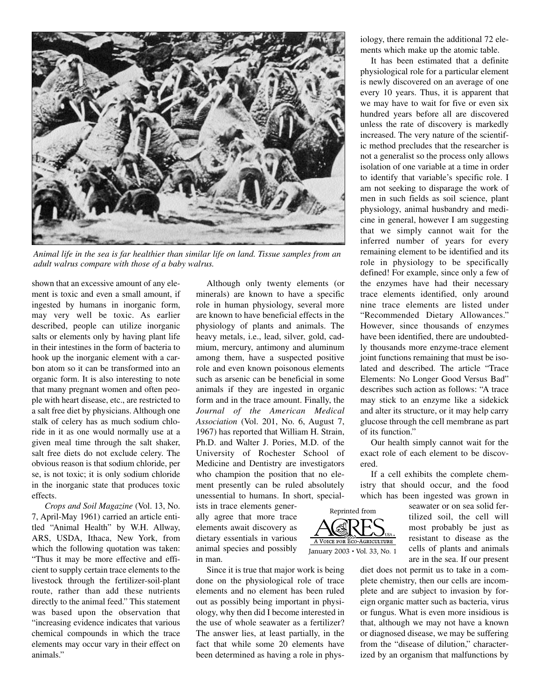

*Animal life in the sea is far healthier than similar life on land. Tissue samples from an adult walrus compare with those of a baby walrus.*

shown that an excessive amount of any element is toxic and even a small amount, if ingested by humans in inorganic form, may very well be toxic. As earlier described, people can utilize inorganic salts or elements only by having plant life in their intestines in the form of bacteria to hook up the inorganic element with a carbon atom so it can be transformed into an organic form. It is also interesting to note that many pregnant women and often people with heart disease, etc., are restricted to a salt free diet by physicians. Although one stalk of celery has as much sodium chloride in it as one would normally use at a given meal time through the salt shaker, salt free diets do not exclude celery. The obvious reason is that sodium chloride, per se, is not toxic; it is only sodium chloride in the inorganic state that produces toxic effects.

*Crops and Soil Magazine* (Vol. 13, No. 7, April-May 1961) carried an article entitled "Animal Health" by W.H. Allway, ARS, USDA, Ithaca, New York, from which the following quotation was taken: "Thus it may be more effective and efficient to supply certain trace elements to the livestock through the fertilizer-soil-plant route, rather than add these nutrients directly to the animal feed." This statement was based upon the observation that "increasing evidence indicates that various chemical compounds in which the trace elements may occur vary in their effect on animals."

Although only twenty elements (or minerals) are known to have a specific role in human physiology, several more are known to have beneficial effects in the physiology of plants and animals. The heavy metals, i.e., lead, silver, gold, cadmium, mercury, antimony and aluminum among them, have a suspected positive role and even known poisonous elements such as arsenic can be beneficial in some animals if they are ingested in organic form and in the trace amount. Finally, the *Journal of the American Medical Association* (Vol. 201, No. 6, August 7, 1967) has reported that William H. Strain, Ph.D. and Walter J. Pories, M.D. of the University of Rochester School of Medicine and Dentistry are investigators who champion the position that no element presently can be ruled absolutely unessential to humans. In short, special-

ists in trace elements generally agree that more trace elements await discovery as dietary essentials in various animal species and possibly in man.

Since it is true that major work is being done on the physiological role of trace elements and no element has been ruled out as possibly being important in physiology, why then did I become interested in the use of whole seawater as a fertilizer? The answer lies, at least partially, in the fact that while some 20 elements have been determined as having a role in phys-



It has been estimated that a definite physiological role for a particular element is newly discovered on an average of one every 10 years. Thus, it is apparent that we may have to wait for five or even six hundred years before all are discovered unless the rate of discovery is markedly increased. The very nature of the scientific method precludes that the researcher is not a generalist so the process only allows isolation of one variable at a time in order to identify that variable's specific role. I am not seeking to disparage the work of men in such fields as soil science, plant physiology, animal husbandry and medicine in general, however I am suggesting that we simply cannot wait for the inferred number of years for every remaining element to be identified and its role in physiology to be specifically defined! For example, since only a few of the enzymes have had their necessary trace elements identified, only around nine trace elements are listed under "Recommended Dietary Allowances." However, since thousands of enzymes have been identified, there are undoubtedly thousands more enzyme-trace element joint functions remaining that must be isolated and described. The article "Trace Elements: No Longer Good Versus Bad" describes such action as follows: "A trace may stick to an enzyme like a sidekick and alter its structure, or it may help carry glucose through the cell membrane as part of its function."

Our health simply cannot wait for the exact role of each element to be discovered.

If a cell exhibits the complete chemistry that should occur, and the food which has been ingested was grown in

> seawater or on sea solid fertilized soil, the cell will most probably be just as resistant to disease as the cells of plants and animals are in the sea. If our present

diet does not permit us to take in a complete chemistry, then our cells are incomplete and are subject to invasion by foreign organic matter such as bacteria, virus or fungus. What is even more insidious is that, although we may not have a known or diagnosed disease, we may be suffering from the "disease of dilution," characterized by an organism that malfunctions by